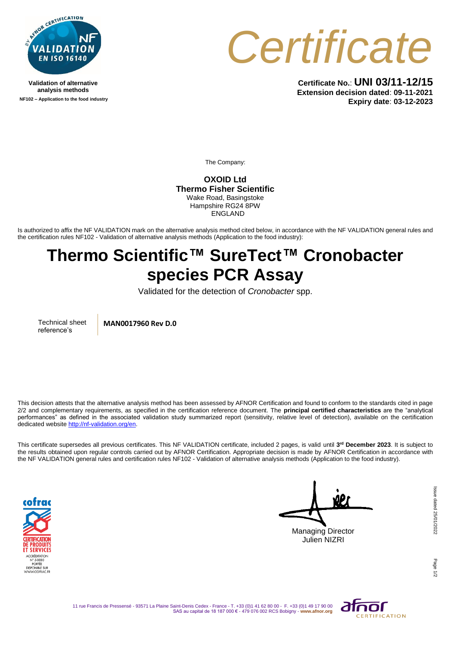

**Validation of alternative analysis methods NF102 – Application to the food industry**



**Certificate No.**: **UNI 03/11-12/15 Extension decision dated**: **09-11-2021 Expiry date**: **03-12-2023**

The Company:

**OXOID Ltd Thermo Fisher Scientific** Wake Road, Basingstoke Hampshire RG24 8PW ENGLAND

Is authorized to affix the NF VALIDATION mark on the alternative analysis method cited below, in accordance with the NF VALIDATION general rules and the certification rules NF102 - Validation of alternative analysis methods (Application to the food industry):

## **Thermo Scientific™ SureTect™ Cronobacter species PCR Assay**

Validated for the detection of *Cronobacter* spp.

Technical sheet reference's

**MAN0017960 Rev D.0**

This decision attests that the alternative analysis method has been assessed by AFNOR Certification and found to conform to the standards cited in page 2/2 and complementary requirements, as specified in the certification reference document. The **principal certified characteristics** are the "analytical performances" as defined in the associated validation study summarized report (sensitivity, relative level of detection), available on the certification dedicated websit[e http://nf-validation.org/en.](http://nf-validation.org/en)

This certificate supersedes all previous certificates. This NF VALIDATION certificate, included 2 pages, is valid until **3 rd December 2023**. It is subject to the results obtained upon regular controls carried out by AFNOR Certification. Appropriate decision is made by AFNOR Certification in accordance with the NF VALIDATION general rules and certification rules NF102 - Validation of alternative analysis methods (Application to the food industry).



Managing Director Julien NIZRI